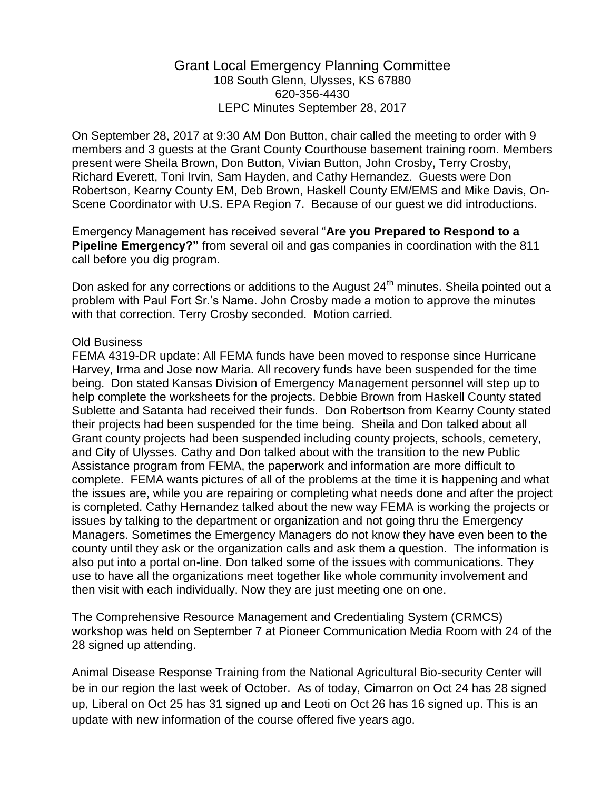## Grant Local Emergency Planning Committee 108 South Glenn, Ulysses, KS 67880 620-356-4430 LEPC Minutes September 28, 2017

On September 28, 2017 at 9:30 AM Don Button, chair called the meeting to order with 9 members and 3 guests at the Grant County Courthouse basement training room. Members present were Sheila Brown, Don Button, Vivian Button, John Crosby, Terry Crosby, Richard Everett, Toni Irvin, Sam Hayden, and Cathy Hernandez. Guests were Don Robertson, Kearny County EM, Deb Brown, Haskell County EM/EMS and Mike Davis, On-Scene Coordinator with U.S. EPA Region 7. Because of our guest we did introductions.

Emergency Management has received several "**Are you Prepared to Respond to a Pipeline Emergency?"** from several oil and gas companies in coordination with the 811 call before you dig program.

Don asked for any corrections or additions to the August  $24<sup>th</sup>$  minutes. Sheila pointed out a problem with Paul Fort Sr.'s Name. John Crosby made a motion to approve the minutes with that correction. Terry Crosby seconded. Motion carried.

## Old Business

FEMA 4319-DR update: All FEMA funds have been moved to response since Hurricane Harvey, Irma and Jose now Maria. All recovery funds have been suspended for the time being. Don stated Kansas Division of Emergency Management personnel will step up to help complete the worksheets for the projects. Debbie Brown from Haskell County stated Sublette and Satanta had received their funds. Don Robertson from Kearny County stated their projects had been suspended for the time being. Sheila and Don talked about all Grant county projects had been suspended including county projects, schools, cemetery, and City of Ulysses. Cathy and Don talked about with the transition to the new Public Assistance program from FEMA, the paperwork and information are more difficult to complete. FEMA wants pictures of all of the problems at the time it is happening and what the issues are, while you are repairing or completing what needs done and after the project is completed. Cathy Hernandez talked about the new way FEMA is working the projects or issues by talking to the department or organization and not going thru the Emergency Managers. Sometimes the Emergency Managers do not know they have even been to the county until they ask or the organization calls and ask them a question. The information is also put into a portal on-line. Don talked some of the issues with communications. They use to have all the organizations meet together like whole community involvement and then visit with each individually. Now they are just meeting one on one.

The Comprehensive Resource Management and Credentialing System (CRMCS) workshop was held on September 7 at Pioneer Communication Media Room with 24 of the 28 signed up attending.

Animal Disease Response Training from the National Agricultural Bio-security Center will be in our region the last week of October. As of today, Cimarron on Oct 24 has 28 signed up, Liberal on Oct 25 has 31 signed up and Leoti on Oct 26 has 16 signed up. This is an update with new information of the course offered five years ago.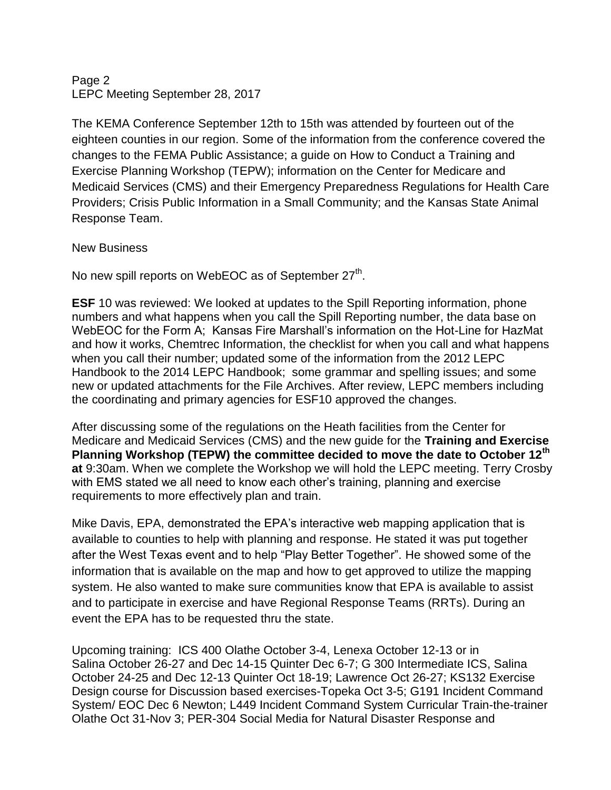## Page 2 LEPC Meeting September 28, 2017

The KEMA Conference September 12th to 15th was attended by fourteen out of the eighteen counties in our region. Some of the information from the conference covered the changes to the FEMA Public Assistance; a guide on How to Conduct a Training and Exercise Planning Workshop (TEPW); information on the Center for Medicare and Medicaid Services (CMS) and their Emergency Preparedness Regulations for Health Care Providers; Crisis Public Information in a Small Community; and the Kansas State Animal Response Team.

## New Business

No new spill reports on WebEOC as of September 27<sup>th</sup>.

**ESF** 10 was reviewed: We looked at updates to the Spill Reporting information, phone numbers and what happens when you call the Spill Reporting number, the data base on WebEOC for the Form A; Kansas Fire Marshall's information on the Hot-Line for HazMat and how it works, Chemtrec Information, the checklist for when you call and what happens when you call their number; updated some of the information from the 2012 LEPC Handbook to the 2014 LEPC Handbook; some grammar and spelling issues; and some new or updated attachments for the File Archives. After review, LEPC members including the coordinating and primary agencies for ESF10 approved the changes.

After discussing some of the regulations on the Heath facilities from the Center for Medicare and Medicaid Services (CMS) and the new guide for the **Training and Exercise Planning Workshop (TEPW) the committee decided to move the date to October 12th at** 9:30am. When we complete the Workshop we will hold the LEPC meeting. Terry Crosby with EMS stated we all need to know each other's training, planning and exercise requirements to more effectively plan and train.

Mike Davis, EPA, demonstrated the EPA's interactive web mapping application that is available to counties to help with planning and response. He stated it was put together after the West Texas event and to help "Play Better Together". He showed some of the information that is available on the map and how to get approved to utilize the mapping system. He also wanted to make sure communities know that EPA is available to assist and to participate in exercise and have Regional Response Teams (RRTs). During an event the EPA has to be requested thru the state.

Upcoming training: ICS 400 Olathe October 3-4, Lenexa October 12-13 or in Salina October 26-27 and Dec 14-15 Quinter Dec 6-7; G 300 Intermediate ICS, Salina October 24-25 and Dec 12-13 Quinter Oct 18-19; Lawrence Oct 26-27; KS132 Exercise Design course for Discussion based exercises-Topeka Oct 3-5; G191 Incident Command System/ EOC Dec 6 Newton; L449 Incident Command System Curricular Train-the-trainer Olathe Oct 31-Nov 3; PER-304 Social Media for Natural Disaster Response and